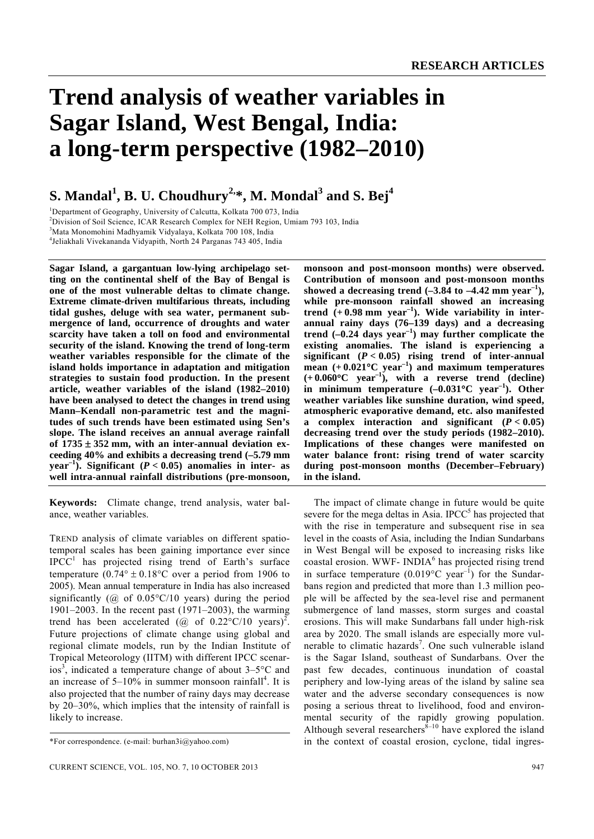# **Trend analysis of weather variables in Sagar Island, West Bengal, India: a long-term perspective (1982–2010)**

# $\mathbf{S}.$  Mandal $^1$ ,  $\mathbf{B}.$  U. Choudhury $^{2,\ast},$  M. Mondal $^3$  and  $\mathbf{S}.$  Bej $^4$

<sup>1</sup>Department of Geography, University of Calcutta, Kolkata 700 073, India<br><sup>2</sup>Division of Soil Science, JCAR Research Complex for NEU Region, Unio

 $2$ Division of Soil Science, ICAR Research Complex for NEH Region, Umiam 793 103, India

3 Mata Monomohini Madhyamik Vidyalaya, Kolkata 700 108, India

4 Jeliakhali Vivekananda Vidyapith, North 24 Parganas 743 405, India

**Sagar Island, a gargantuan low-lying archipelago setting on the continental shelf of the Bay of Bengal is one of the most vulnerable deltas to climate change. Extreme climate-driven multifarious threats, including tidal gushes, deluge with sea water, permanent submergence of land, occurrence of droughts and water scarcity have taken a toll on food and environmental security of the island. Knowing the trend of long-term weather variables responsible for the climate of the island holds importance in adaptation and mitigation strategies to sustain food production. In the present article, weather variables of the island (1982–2010) have been analysed to detect the changes in trend using Mann–Kendall non-parametric test and the magnitudes of such trends have been estimated using Sen's slope. The island receives an annual average rainfall of 1735** ± **352 mm, with an inter-annual deviation exceeding 40% and exhibits a decreasing trend (–5.79 mm year**<sup> $-1$ </sup>). Significant ( $P < 0.05$ ) anomalies in inter- as **well intra-annual rainfall distributions (pre-monsoon,** 

**Keywords:** Climate change, trend analysis, water balance, weather variables.

TREND analysis of climate variables on different spatiotemporal scales has been gaining importance ever since  $IPCC<sup>1</sup>$  has projected rising trend of Earth's surface temperature (0.74 $\degree$  ± 0.18 $\degree$ C over a period from 1906 to 2005). Mean annual temperature in India has also increased significantly ( $\omega$ ) of 0.05°C/10 years) during the period 1901–2003. In the recent past (1971–2003), the warming trend has been accelerated ( $\omega$  of 0.22°C/10 years)<sup>2</sup>. Future projections of climate change using global and regional climate models, run by the Indian Institute of Tropical Meteorology (IITM) with different IPCC scenarios<sup>3</sup>, indicated a temperature change of about  $3-5$ °C and an increase of  $5-10\%$  in summer monsoon rainfall<sup>4</sup>. It is also projected that the number of rainy days may decrease by 20–30%, which implies that the intensity of rainfall is likely to increase.

**monsoon and post-monsoon months) were observed. Contribution of monsoon and post-monsoon months**  showed a decreasing trend  $(-3.84 \text{ to } -4.42 \text{ mm year}^{-1})$ , **while pre-monsoon rainfall showed an increasing trend (+ 0.98 mm year–1). Wide variability in interannual rainy days (76–139 days) and a decreasing trend (–0.24 days year–1) may further complicate the existing anomalies. The island is experiencing a significant (***P* **< 0.05) rising trend of inter-annual**  mean  $(+0.021^{\circ}$ C year<sup>-1</sup>) and maximum temperatures  $(+0.060^{\circ}$ C year<sup>-1</sup>), with a reverse trend (decline) in minimum temperature  $(-0.031^{\circ}C \text{ year}^{-1})$ . Other **weather variables like sunshine duration, wind speed, atmospheric evaporative demand, etc. also manifested a** complex interaction and significant  $(P < 0.05)$ **decreasing trend over the study periods (1982–2010). Implications of these changes were manifested on water balance front: rising trend of water scarcity during post-monsoon months (December–February) in the island.** 

 The impact of climate change in future would be quite severe for the mega deltas in Asia. IPCC $<sup>5</sup>$  has projected that</sup> with the rise in temperature and subsequent rise in sea level in the coasts of Asia, including the Indian Sundarbans in West Bengal will be exposed to increasing risks like coastal erosion. WWF-  $INDIA<sup>6</sup>$  has projected rising trend in surface temperature  $(0.019^{\circ}C \text{ year}^{-1})$  for the Sundarbans region and predicted that more than 1.3 million people will be affected by the sea-level rise and permanent submergence of land masses, storm surges and coastal erosions. This will make Sundarbans fall under high-risk area by 2020. The small islands are especially more vulnerable to climatic hazards<sup>7</sup>. One such vulnerable island is the Sagar Island, southeast of Sundarbans. Over the past few decades, continuous inundation of coastal periphery and low-lying areas of the island by saline sea water and the adverse secondary consequences is now posing a serious threat to livelihood, food and environmental security of the rapidly growing population. Although several researchers $\frac{\dot{\delta}-10}{\delta}$  have explored the island in the context of coastal erosion, cyclone, tidal ingres-

<sup>\*</sup>For correspondence. (e-mail: burhan3i@yahoo.com)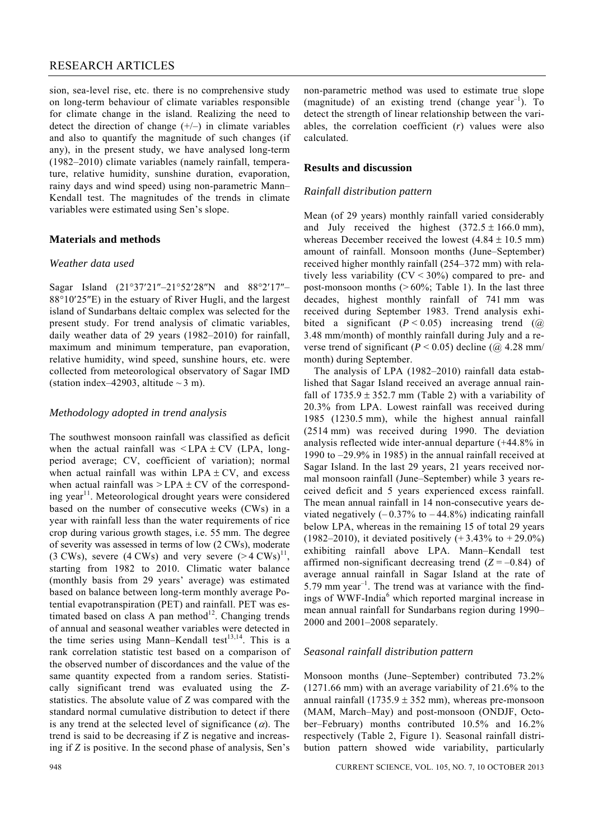# RESEARCH ARTICLES

sion, sea-level rise, etc. there is no comprehensive study on long-term behaviour of climate variables responsible for climate change in the island. Realizing the need to detect the direction of change  $(+/-)$  in climate variables and also to quantify the magnitude of such changes (if any), in the present study, we have analysed long-term (1982–2010) climate variables (namely rainfall, temperature, relative humidity, sunshine duration, evaporation, rainy days and wind speed) using non-parametric Mann– Kendall test. The magnitudes of the trends in climate variables were estimated using Sen's slope.

# **Materials and methods**

# *Weather data used*

Sagar Island (21°37′21″–21°52′28″N and 88°2′17″– 88°10′25″E) in the estuary of River Hugli, and the largest island of Sundarbans deltaic complex was selected for the present study. For trend analysis of climatic variables, daily weather data of 29 years (1982–2010) for rainfall, maximum and minimum temperature, pan evaporation, relative humidity, wind speed, sunshine hours, etc. were collected from meteorological observatory of Sagar IMD (station index–42903, altitude  $\sim$  3 m).

# *Methodology adopted in trend analysis*

The southwest monsoon rainfall was classified as deficit when the actual rainfall was  $\leq$  LPA  $\pm$  CV (LPA, longperiod average; CV, coefficient of variation); normal when actual rainfall was within  $LPA \pm CV$ , and excess when actual rainfall was  $>$  LPA  $\pm$  CV of the corresponding year<sup>11</sup>. Meteorological drought years were considered based on the number of consecutive weeks (CWs) in a year with rainfall less than the water requirements of rice crop during various growth stages, i.e. 55 mm. The degree of severity was assessed in terms of low (2 CWs), moderate (3 CWs), severe (4 CWs) and very severe  $(> 4 \text{ CWs})^{11}$ . starting from 1982 to 2010. Climatic water balance (monthly basis from 29 years' average) was estimated based on balance between long-term monthly average Potential evapotranspiration (PET) and rainfall. PET was estimated based on class A pan method $12$ . Changing trends of annual and seasonal weather variables were detected in the time series using Mann–Kendall test<sup>13,14</sup>. This is a rank correlation statistic test based on a comparison of the observed number of discordances and the value of the same quantity expected from a random series. Statistically significant trend was evaluated using the *Z*statistics. The absolute value of *Z* was compared with the standard normal cumulative distribution to detect if there is any trend at the selected level of significance  $(\alpha)$ . The trend is said to be decreasing if *Z* is negative and increasing if *Z* is positive. In the second phase of analysis, Sen's non-parametric method was used to estimate true slope (magnitude) of an existing trend (change year<sup>-1</sup>). To detect the strength of linear relationship between the variables, the correlation coefficient (*r*) values were also calculated.

# **Results and discussion**

# *Rainfall distribution pattern*

Mean (of 29 years) monthly rainfall varied considerably and July received the highest  $(372.5 \pm 166.0 \text{ mm})$ , whereas December received the lowest  $(4.84 \pm 10.5 \text{ mm})$ amount of rainfall. Monsoon months (June–September) received higher monthly rainfall (254–372 mm) with relatively less variability  $(CV < 30\%)$  compared to pre- and post-monsoon months  $(>60\%;$  Table 1). In the last three decades, highest monthly rainfall of 741 mm was received during September 1983. Trend analysis exhibited a significant  $(P < 0.05)$  increasing trend  $(Q)$ 3.48 mm/month) of monthly rainfall during July and a reverse trend of significant ( $P < 0.05$ ) decline ( $\omega$ ) 4.28 mm/ month) during September.

 The analysis of LPA (1982–2010) rainfall data established that Sagar Island received an average annual rainfall of  $1735.9 \pm 352.7$  mm (Table 2) with a variability of 20.3% from LPA. Lowest rainfall was received during 1985 (1230.5 mm), while the highest annual rainfall (2514 mm) was received during 1990. The deviation analysis reflected wide inter-annual departure (+44.8% in 1990 to –29.9% in 1985) in the annual rainfall received at Sagar Island. In the last 29 years, 21 years received normal monsoon rainfall (June–September) while 3 years received deficit and 5 years experienced excess rainfall. The mean annual rainfall in 14 non-consecutive years deviated negatively  $(-0.37\%$  to  $-44.8\%)$  indicating rainfall below LPA, whereas in the remaining 15 of total 29 years (1982–2010), it deviated positively  $(+ 3.43\% \text{ to } +29.0\%)$ exhibiting rainfall above LPA. Mann–Kendall test affirmed non-significant decreasing trend  $(Z = -0.84)$  of average annual rainfall in Sagar Island at the rate of 5.79 mm year<sup>-1</sup>. The trend was at variance with the findings of WWF-India<sup>6</sup> which reported marginal increase in mean annual rainfall for Sundarbans region during 1990– 2000 and 2001–2008 separately.

# *Seasonal rainfall distribution pattern*

Monsoon months (June–September) contributed 73.2% (1271.66 mm) with an average variability of 21.6% to the annual rainfall  $(1735.9 \pm 352 \text{ mm})$ , whereas pre-monsoon (MAM, March–May) and post-monsoon (ONDJF, October–February) months contributed 10.5% and 16.2% respectively (Table 2, Figure 1). Seasonal rainfall distribution pattern showed wide variability, particularly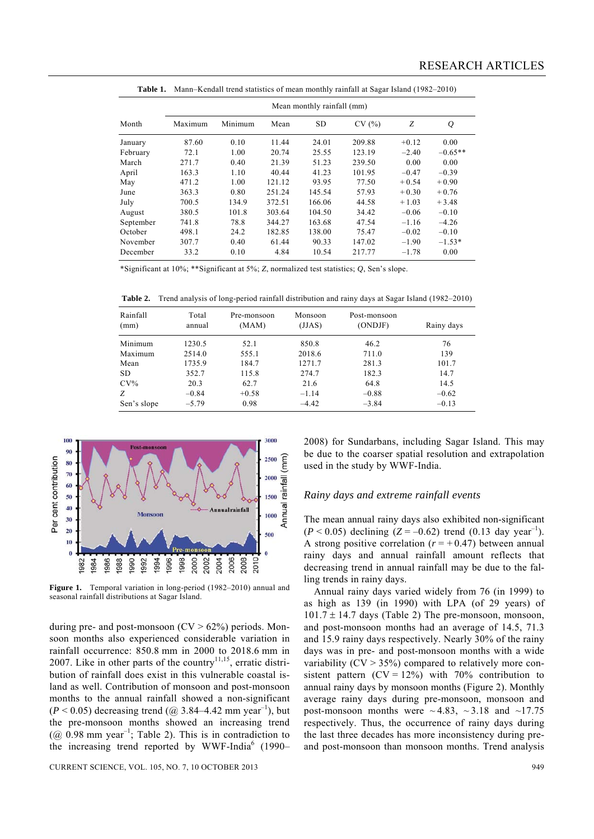|           |         |         |        | Mean monthly rainfall (mm) |        |         |           |
|-----------|---------|---------|--------|----------------------------|--------|---------|-----------|
| Month     | Maximum | Minimum | Mean   | <b>SD</b>                  | CV(%)  | Ζ       | $\varrho$ |
| January   | 87.60   | 0.10    | 11.44  | 24.01                      | 209.88 | $+0.12$ | 0.00      |
| February  | 72.1    | 1.00    | 20.74  | 25.55                      | 123.19 | $-2.40$ | $-0.65**$ |
| March     | 271.7   | 0.40    | 21.39  | 51.23                      | 239.50 | 0.00    | 0.00      |
| April     | 163.3   | 1.10    | 40.44  | 41.23                      | 101.95 | $-0.47$ | $-0.39$   |
| May       | 471.2   | 1.00    | 121.12 | 93.95                      | 77.50  | $+0.54$ | $+0.90$   |
| June      | 363.3   | 0.80    | 251.24 | 145.54                     | 57.93  | $+0.30$ | $+0.76$   |
| July      | 700.5   | 134.9   | 372.51 | 166.06                     | 44.58  | $+1.03$ | $+3.48$   |
| August    | 380.5   | 101.8   | 303.64 | 104.50                     | 34.42  | $-0.06$ | $-0.10$   |
| September | 741.8   | 78.8    | 344.27 | 163.68                     | 47.54  | $-1.16$ | $-4.26$   |
| October   | 498.1   | 24.2    | 182.85 | 138.00                     | 75.47  | $-0.02$ | $-0.10$   |
| November  | 307.7   | 0.40    | 61.44  | 90.33                      | 147.02 | $-1.90$ | $-1.53*$  |
| December  | 33.2    | 0.10    | 4.84   | 10.54                      | 217.77 | $-1.78$ | 0.00      |

**Table 1.** Mann–Kendall trend statistics of mean monthly rainfall at Sagar Island (1982–2010)

\*Significant at 10%; \*\*Significant at 5%; *Z*, normalized test statistics; *Q*, Sen's slope.

**Table 2.** Trend analysis of long-period rainfall distribution and rainy days at Sagar Island (1982–2010)

| Rainfall<br>Total<br>(mm)<br>annual |         | Pre-monsoon<br>(MAM) | Monsoon<br>(JJAS) | Post-monsoon<br>(ONDJF) | Rainy days |  |  |
|-------------------------------------|---------|----------------------|-------------------|-------------------------|------------|--|--|
| Minimum                             | 1230.5  | 52.1                 | 850.8             | 46.2                    | 76         |  |  |
| Maximum                             | 2514.0  | 555.1                | 2018.6            | 711.0                   | 139        |  |  |
| Mean                                | 1735.9  | 184.7                | 1271.7            | 281.3                   | 101.7      |  |  |
| SD                                  | 352.7   | 115.8                | 274.7             | 182.3                   | 14.7       |  |  |
| $CV\%$                              | 20.3    | 62.7                 | 21.6              | 64.8                    | 14.5       |  |  |
| Z                                   | $-0.84$ | $+0.58$              | $-1.14$           | $-0.88$                 | $-0.62$    |  |  |
| Sen's slope                         | $-5.79$ | 0.98                 | $-4.42$           | $-3.84$                 | $-0.13$    |  |  |



**Figure 1.** Temporal variation in long-period (1982–2010) annual and seasonal rainfall distributions at Sagar Island.

during pre- and post-monsoon  $(CV > 62%)$  periods. Monsoon months also experienced considerable variation in rainfall occurrence: 850.8 mm in 2000 to 2018.6 mm in 2007. Like in other parts of the country<sup>11,15</sup>, erratic distribution of rainfall does exist in this vulnerable coastal island as well. Contribution of monsoon and post-monsoon months to the annual rainfall showed a non-significant  $(P < 0.05)$  decreasing trend  $(Q \approx 3.84 - 4.42 \text{ mm} \text{ year}^{-1})$ , but the pre-monsoon months showed an increasing trend ( $@$  0.98 mm year<sup>-1</sup>; Table 2). This is in contradiction to the increasing trend reported by WWF-India<sup>6</sup> (1990–

CURRENT SCIENCE, VOL. 105, NO. 7, 10 OCTOBER 2013 949

2008) for Sundarbans, including Sagar Island. This may be due to the coarser spatial resolution and extrapolation used in the study by WWF-India.

#### *Rainy days and extreme rainfall events*

The mean annual rainy days also exhibited non-significant  $(P < 0.05)$  declining  $(Z = -0.62)$  trend  $(0.13$  day year<sup>-1</sup>). A strong positive correlation  $(r = +0.47)$  between annual rainy days and annual rainfall amount reflects that decreasing trend in annual rainfall may be due to the falling trends in rainy days.

 Annual rainy days varied widely from 76 (in 1999) to as high as 139 (in 1990) with LPA (of 29 years) of  $101.7 \pm 14.7$  days (Table 2) The pre-monsoon, monsoon, and post-monsoon months had an average of 14.5, 71.3 and 15.9 rainy days respectively. Nearly 30% of the rainy days was in pre- and post-monsoon months with a wide variability  $(CV > 35%)$  compared to relatively more consistent pattern  $(CV = 12\%)$  with 70% contribution to annual rainy days by monsoon months (Figure 2). Monthly average rainy days during pre-monsoon, monsoon and post-monsoon months were  $\sim$  4.83,  $\sim$  3.18 and  $\sim$  17.75 respectively. Thus, the occurrence of rainy days during the last three decades has more inconsistency during preand post-monsoon than monsoon months. Trend analysis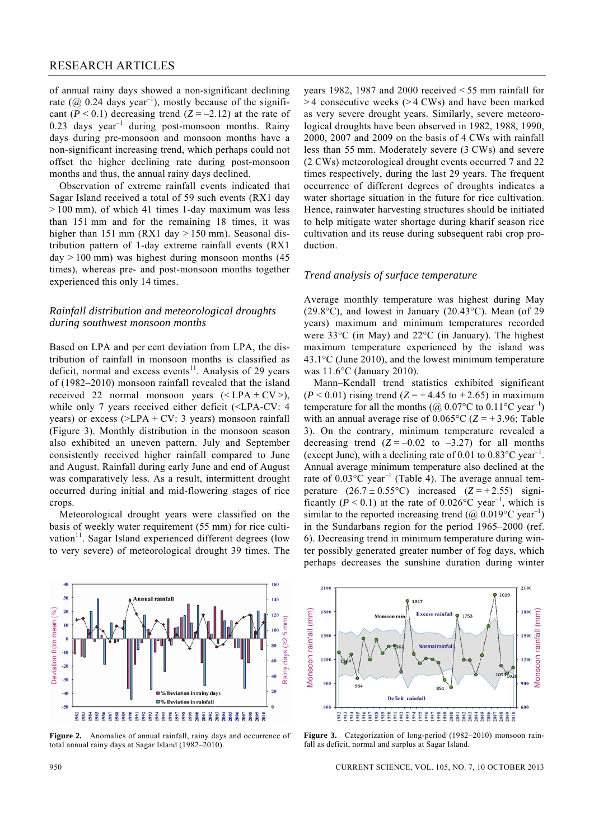of annual rainy days showed a non-significant declining rate ( $@$  0.24 days year<sup>-1</sup>), mostly because of the significant  $(P < 0.1)$  decreasing trend  $(Z = -2.12)$  at the rate of  $0.23$  days year<sup>-1</sup> during post-monsoon months. Rainy days during pre-monsoon and monsoon months have a non-significant increasing trend, which perhaps could not offset the higher declining rate during post-monsoon months and thus, the annual rainy days declined.

 Observation of extreme rainfall events indicated that Sagar Island received a total of 59 such events (RX1 day > 100 mm), of which 41 times 1-day maximum was less than 151 mm and for the remaining 18 times, it was higher than 151 mm (RX1 day  $> 150$  mm). Seasonal distribution pattern of 1-day extreme rainfall events (RX1  $day > 100$  mm) was highest during monsoon months (45) times), whereas pre- and post-monsoon months together experienced this only 14 times.

# *Rainfall distribution and meteorological droughts during southwest monsoon months*

Based on LPA and per cent deviation from LPA, the distribution of rainfall in monsoon months is classified as deficit, normal and excess events<sup>11</sup>. Analysis of 29 years of (1982–2010) monsoon rainfall revealed that the island received 22 normal monsoon years  $(**LPA** \pm **CV**)$ , while only 7 years received either deficit (<LPA-CV: 4 years) or excess  $(>LPA + CV: 3 \text{ years})$  monsoon rainfall (Figure 3). Monthly distribution in the monsoon season also exhibited an uneven pattern. July and September consistently received higher rainfall compared to June and August. Rainfall during early June and end of August was comparatively less. As a result, intermittent drought occurred during initial and mid-flowering stages of rice crops.

 Meteorological drought years were classified on the basis of weekly water requirement (55 mm) for rice cultivation<sup>11</sup>. Sagar Island experienced different degrees (low to very severe) of meteorological drought 39 times. The years 1982, 1987 and 2000 received < 55 mm rainfall for > 4 consecutive weeks (> 4 CWs) and have been marked as very severe drought years. Similarly, severe meteorological droughts have been observed in 1982, 1988, 1990, 2000, 2007 and 2009 on the basis of 4 CWs with rainfall less than 55 mm. Moderately severe (3 CWs) and severe (2 CWs) meteorological drought events occurred 7 and 22 times respectively, during the last 29 years. The frequent occurrence of different degrees of droughts indicates a water shortage situation in the future for rice cultivation. Hence, rainwater harvesting structures should be initiated to help mitigate water shortage during kharif season rice cultivation and its reuse during subsequent rabi crop production.

#### *Trend analysis of surface temperature*

Average monthly temperature was highest during May (29.8°C), and lowest in January (20.43°C). Mean (of 29 years) maximum and minimum temperatures recorded were 33°C (in May) and 22°C (in January). The highest maximum temperature experienced by the island was 43.1°C (June 2010), and the lowest minimum temperature was 11.6°C (January 2010).

 Mann–Kendall trend statistics exhibited significant  $(P < 0.01)$  rising trend  $(Z = +4.45$  to  $+2.65)$  in maximum temperature for all the months ( $\omega$  0.07°C to 0.11°C year<sup>-1</sup>) with an annual average rise of  $0.065^{\circ}$ C ( $Z = +3.96$ ; Table 3). On the contrary, minimum temperature revealed a decreasing trend  $(Z = -0.02$  to  $-3.27$ ) for all months (except June), with a declining rate of 0.01 to  $0.83^{\circ}$ C year<sup>-1</sup>. Annual average minimum temperature also declined at the rate of  $0.03^{\circ}$ C year<sup>-1</sup> (Table 4). The average annual temperature  $(26.7 \pm 0.55^{\circ}\text{C})$  increased  $(Z = +2.55)$  significantly  $(P < 0.1)$  at the rate of 0.026°C year<sup>-1</sup>, which is similar to the reported increasing trend ( $\omega$  0.019 °C year<sup>-1</sup>) in the Sundarbans region for the period 1965–2000 (ref. 6). Decreasing trend in minimum temperature during winter possibly generated greater number of fog days, which perhaps decreases the sunshine duration during winter



**Figure 2.** Anomalies of annual rainfall, rainy days and occurrence of total annual rainy days at Sagar Island (1982–2010).



**Figure 3.** Categorization of long-period (1982–2010) monsoon rainfall as deficit, normal and surplus at Sagar Island.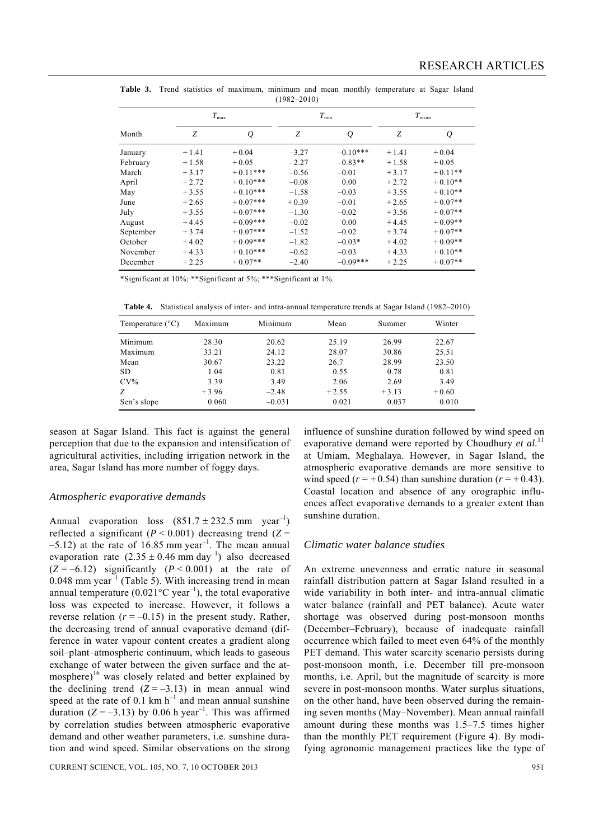|           |         | $T_{\rm max}$ |         | $T_{\rm min}$ | $T_{\text{mean}}$ |           |  |
|-----------|---------|---------------|---------|---------------|-------------------|-----------|--|
| Month     | Ζ       | $\varrho$     | Ζ       | Q             | Ζ                 | Q         |  |
| January   | $+1.41$ | $+0.04$       | $-3.27$ | $-0.10***$    | $+1.41$           | $+0.04$   |  |
| February  | $+1.58$ | $+0.05$       | $-2.27$ | $-0.83**$     | $+1.58$           | $+0.05$   |  |
| March     | $+3.17$ | $+0.11***$    | $-0.56$ | $-0.01$       | $+3.17$           | $+0.11**$ |  |
| April     | $+2.72$ | $+0.10***$    | $-0.08$ | 0.00          | $+2.72$           | $+0.10**$ |  |
| May       | $+3.55$ | $+0.10***$    | $-1.58$ | $-0.03$       | $+3.55$           | $+0.10**$ |  |
| June      | $+2.65$ | $+0.07***$    | $+0.39$ | $-0.01$       | $+2.65$           | $+0.07**$ |  |
| July      | $+3.55$ | $+0.07***$    | $-1.30$ | $-0.02$       | $+3.56$           | $+0.07**$ |  |
| August    | $+4.45$ | $+0.09***$    | $-0.02$ | 0.00          | $+4.45$           | $+0.09**$ |  |
| September | $+3.74$ | $+0.07***$    | $-1.52$ | $-0.02$       | $+3.74$           | $+0.07**$ |  |
| October   | $+4.02$ | $+0.09***$    | $-1.82$ | $-0.03*$      | $+4.02$           | $+0.09**$ |  |
| November  | $+4.33$ | $+0.10***$    | $-0.62$ | $-0.03$       | $+4.33$           | $+0.10**$ |  |
| December  | $+2.25$ | $+0.07**$     | $-2.40$ | $-0.09***$    | $+2.25$           | $+0.07**$ |  |

Table 3. Trend statistics of maximum, minimum and mean monthly temperature at Sagar Island (1982–2010)

\*Significant at 10%; \*\*Significant at 5%; \*\*\*Significant at 1%.

**Table 4.** Statistical analysis of inter- and intra-annual temperature trends at Sagar Island (1982–2010)

| Temperature $(^{\circ}C)$ | Maximum | Minimum  | Mean    | Summer  | Winter  |
|---------------------------|---------|----------|---------|---------|---------|
| Minimum                   | 28.30   | 20.62    | 25.19   | 26.99   | 22.67   |
| Maximum                   | 33.21   | 24.12    | 28.07   | 30.86   | 25.51   |
| Mean                      | 30.67   | 23.22    | 26.7    | 28.99   | 23.50   |
| <b>SD</b>                 | 1.04    | 0.81     | 0.55    | 0.78    | 0.81    |
| $CV\%$                    | 3.39    | 3.49     | 2.06    | 2.69    | 3.49    |
| Ζ                         | $+3.96$ | $-2.48$  | $+2.55$ | $+3.13$ | $+0.60$ |
| Sen's slope               | 0.060   | $-0.031$ | 0.021   | 0.037   | 0.010   |

season at Sagar Island. This fact is against the general perception that due to the expansion and intensification of agricultural activities, including irrigation network in the area, Sagar Island has more number of foggy days.

#### *Atmospheric evaporative demands*

Annual evaporation loss  $(851.7 \pm 232.5 \text{ mm} \text{ year}^{-1})$ reflected a significant  $(P < 0.001)$  decreasing trend  $(Z =$  $-5.12$ ) at the rate of 16.85 mm year<sup>-1</sup>. The mean annual evaporation rate  $(2.35 \pm 0.46 \text{ mm day}^{-1})$  also decreased  $(Z = -6.12)$  significantly  $(P < 0.001)$  at the rate of  $0.048$  mm year<sup>-1</sup> (Table 5). With increasing trend in mean annual temperature  $(0.021^{\circ}C \text{ year}^{-1})$ , the total evaporative loss was expected to increase. However, it follows a reverse relation  $(r = -0.15)$  in the present study. Rather, the decreasing trend of annual evaporative demand (difference in water vapour content creates a gradient along soil–plant–atmospheric continuum, which leads to gaseous exchange of water between the given surface and the atmosphere)<sup>16</sup> was closely related and better explained by the declining trend  $(Z = -3.13)$  in mean annual wind speed at the rate of  $0.1 \text{ km h}^{-1}$  and mean annual sunshine duration  $(Z = -3.13)$  by 0.06 h year<sup>-1</sup>. This was affirmed by correlation studies between atmospheric evaporative demand and other weather parameters, i.e. sunshine duration and wind speed. Similar observations on the strong influence of sunshine duration followed by wind speed on evaporative demand were reported by Choudhury *et al.*<sup>11</sup> at Umiam, Meghalaya. However, in Sagar Island, the atmospheric evaporative demands are more sensitive to wind speed  $(r = +0.54)$  than sunshine duration  $(r = +0.43)$ . Coastal location and absence of any orographic influences affect evaporative demands to a greater extent than sunshine duration.

#### *Climatic water balance studies*

An extreme unevenness and erratic nature in seasonal rainfall distribution pattern at Sagar Island resulted in a wide variability in both inter- and intra-annual climatic water balance (rainfall and PET balance). Acute water shortage was observed during post-monsoon months (December–February), because of inadequate rainfall occurrence which failed to meet even 64% of the monthly PET demand. This water scarcity scenario persists during post-monsoon month, i.e. December till pre-monsoon months, i.e. April, but the magnitude of scarcity is more severe in post-monsoon months. Water surplus situations, on the other hand, have been observed during the remaining seven months (May–November). Mean annual rainfall amount during these months was 1.5–7.5 times higher than the monthly PET requirement (Figure 4). By modifying agronomic management practices like the type of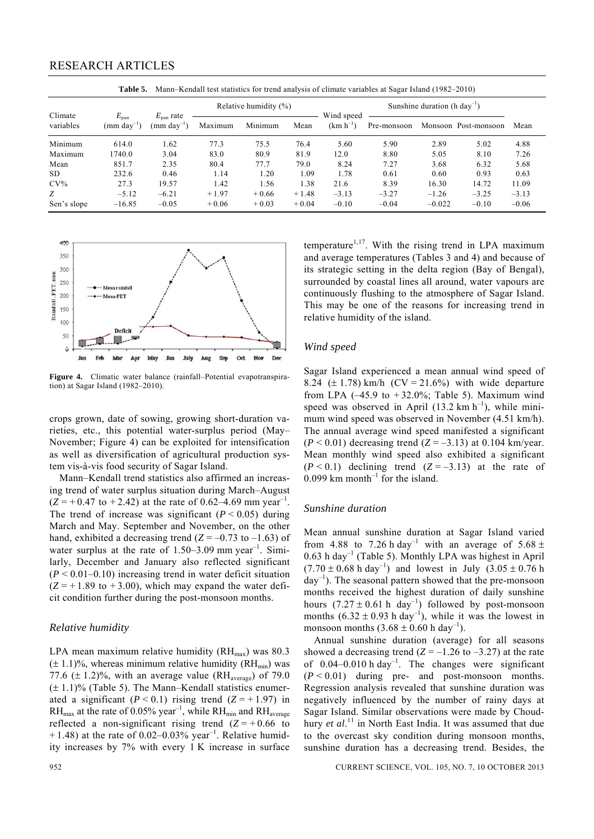| 1 avit J.<br>$\mu$ ividim—KChuan iCSt statistics for trend analysis of Chinate variables at Bagar iSland (1762—2010) |                                                     |                                             |                           |         |         |                             |                                          |          |                      |         |  |
|----------------------------------------------------------------------------------------------------------------------|-----------------------------------------------------|---------------------------------------------|---------------------------|---------|---------|-----------------------------|------------------------------------------|----------|----------------------|---------|--|
|                                                                                                                      |                                                     |                                             | Relative humidity $(\% )$ |         |         |                             | Sunshine duration (h day <sup>-1</sup> ) |          |                      |         |  |
| Climate<br>variables                                                                                                 | $E_{\text{pan}}$<br>$\text{mm}$ dav <sup>-1</sup> ) | $E_{\text{pan}}$ rate<br>$(mm \, day^{-1})$ | Maximum                   | Minimum | Mean    | Wind speed<br>$(km h^{-1})$ | Pre-monsoon                              |          | Monsoon Post-monsoon | Mean    |  |
| Minimum                                                                                                              | 614.0                                               | 1.62                                        | 77.3                      | 75.5    | 76.4    | 5.60                        | 5.90                                     | 2.89     | 5.02                 | 4.88    |  |
| Maximum                                                                                                              | 1740.0                                              | 3.04                                        | 83.0                      | 80.9    | 81.9    | 12.0                        | 8.80                                     | 5.05     | 8.10                 | 7.26    |  |
| Mean                                                                                                                 | 851.7                                               | 2.35                                        | 80.4                      | 77.7    | 79.0    | 8.24                        | 7.27                                     | 3.68     | 6.32                 | 5.68    |  |
| SD.                                                                                                                  | 232.6                                               | 0.46                                        | 1.14                      | 1.20    | 1.09    | 1.78                        | 0.61                                     | 0.60     | 0.93                 | 0.63    |  |
| $CV\%$                                                                                                               | 27.3                                                | 19.57                                       | 1.42                      | 1.56    | 1.38    | 21.6                        | 8.39                                     | 16.30    | 14.72                | 11.09   |  |
| Z                                                                                                                    | $-5.12$                                             | $-6.21$                                     | $+1.97$                   | $+0.66$ | $+1.48$ | $-3.13$                     | $-3.27$                                  | $-1.26$  | $-3.25$              | $-3.13$ |  |
| Sen's slope                                                                                                          | $-16.85$                                            | $-0.05$                                     | $+0.06$                   | $+0.03$ | $+0.04$ | $-0.10$                     | $-0.04$                                  | $-0.022$ | $-0.10$              | $-0.06$ |  |

**Table 5.** Mann–Kendall test statistics for trend analysis of climate variables at Sagar Island (1982–2010)



**Figure 4.** Climatic water balance (rainfall–Potential evapotranspiration) at Sagar Island (1982–2010).

crops grown, date of sowing, growing short-duration varieties, etc., this potential water-surplus period (May– November; Figure 4) can be exploited for intensification as well as diversification of agricultural production system vis-à-vis food security of Sagar Island.

 Mann–Kendall trend statistics also affirmed an increasing trend of water surplus situation during March–August  $(Z = +0.47$  to  $+2.42$ ) at the rate of 0.62–4.69 mm year<sup>-1</sup>. The trend of increase was significant  $(P < 0.05)$  during March and May. September and November, on the other hand, exhibited a decreasing trend  $(Z = -0.73$  to  $-1.63$ ) of water surplus at the rate of  $1.50-3.09$  mm year<sup>-1</sup>. Similarly, December and January also reflected significant  $(P < 0.01 - 0.10)$  increasing trend in water deficit situation  $(Z = +1.89$  to  $+3.00$ ), which may expand the water deficit condition further during the post-monsoon months.

#### *Relative humidity*

LPA mean maximum relative humidity  $(RH_{max})$  was 80.3  $(\pm 1.1)$ %, whereas minimum relative humidity (RH<sub>min</sub>) was 77.6  $(\pm 1.2)$ %, with an average value (RH<sub>average</sub>) of 79.0  $(\pm 1.1)\%$  (Table 5). The Mann–Kendall statistics enumerated a significant  $(P < 0.1)$  rising trend  $(Z = +1.97)$  in  $RH_{\text{max}}$  at the rate of 0.05% year<sup>-1</sup>, while  $RH_{\text{min}}$  and  $RH_{\text{average}}$ reflected a non-significant rising trend  $(Z = +0.66$  to  $+ 1.48$ ) at the rate of 0.02–0.03% year<sup>-1</sup>. Relative humidity increases by 7% with every 1 K increase in surface temperature $1,17$ . With the rising trend in LPA maximum and average temperatures (Tables 3 and 4) and because of its strategic setting in the delta region (Bay of Bengal), surrounded by coastal lines all around, water vapours are continuously flushing to the atmosphere of Sagar Island. This may be one of the reasons for increasing trend in relative humidity of the island.

#### *Wind speed*

Sagar Island experienced a mean annual wind speed of 8.24 ( $\pm$  1.78) km/h (CV = 21.6%) with wide departure from LPA  $(-45.9 \text{ to } +32.0\%;$  Table 5). Maximum wind speed was observed in April (13.2 km  $h^{-1}$ ), while minimum wind speed was observed in November (4.51 km/h). The annual average wind speed manifested a significant  $(P < 0.01)$  decreasing trend  $(Z = -3.13)$  at 0.104 km/year. Mean monthly wind speed also exhibited a significant  $(P < 0.1)$  declining trend  $(Z = -3.13)$  at the rate of  $0.099$  km month<sup>-1</sup> for the island.

#### *Sunshine duration*

Mean annual sunshine duration at Sagar Island varied from 4.88 to 7.26 h day<sup>-1</sup> with an average of 5.68  $\pm$  $0.63$  h day<sup>-1</sup> (Table 5). Monthly LPA was highest in April  $(7.70 \pm 0.68 \text{ h day}^{-1})$  and lowest in July  $(3.05 \pm 0.76 \text{ h})$  $day^{-1}$ ). The seasonal pattern showed that the pre-monsoon months received the highest duration of daily sunshine hours  $(7.27 \pm 0.61 \text{ h day}^{-1})$  followed by post-monsoon months  $(6.32 \pm 0.93 \text{ h day}^{-1})$ , while it was the lowest in monsoon months  $(3.68 \pm 0.60 \text{ h day}^{-1})$ .

 Annual sunshine duration (average) for all seasons showed a decreasing trend  $(Z = -1.26$  to  $-3.27$ ) at the rate of  $0.04-0.010$  h day<sup>-1</sup>. The changes were significant  $(P < 0.01)$  during pre- and post-monsoon months. Regression analysis revealed that sunshine duration was negatively influenced by the number of rainy days at Sagar Island. Similar observations were made by Choudhury *et al*. 11 in North East India. It was assumed that due to the overcast sky condition during monsoon months, sunshine duration has a decreasing trend. Besides, the